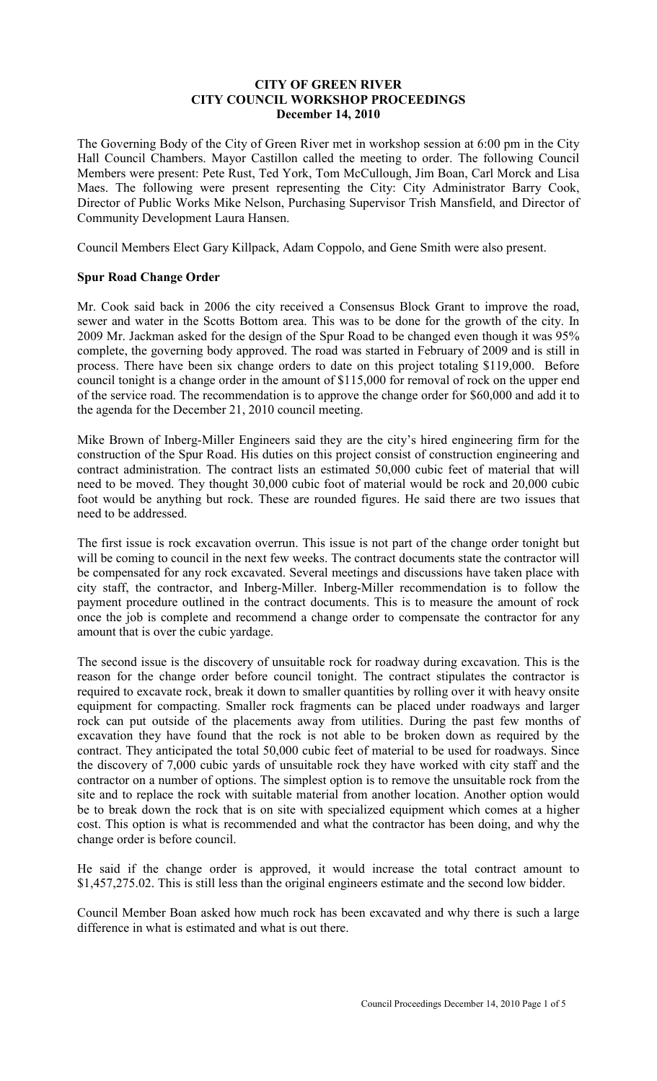### **CITY OF GREEN RIVER CITY COUNCIL WORKSHOP PROCEEDINGS December 14, 2010**

The Governing Body of the City of Green River met in workshop session at 6:00 pm in the City Hall Council Chambers. Mayor Castillon called the meeting to order. The following Council Members were present: Pete Rust, Ted York, Tom McCullough, Jim Boan, Carl Morck and Lisa Maes. The following were present representing the City: City Administrator Barry Cook, Director of Public Works Mike Nelson, Purchasing Supervisor Trish Mansfield, and Director of Community Development Laura Hansen.

Council Members Elect Gary Killpack, Adam Coppolo, and Gene Smith were also present.

## **Spur Road Change Order**

Mr. Cook said back in 2006 the city received a Consensus Block Grant to improve the road, sewer and water in the Scotts Bottom area. This was to be done for the growth of the city. In 2009 Mr. Jackman asked for the design of the Spur Road to be changed even though it was 95% complete, the governing body approved. The road was started in February of 2009 and is still in process. There have been six change orders to date on this project totaling \$119,000. Before council tonight is a change order in the amount of \$115,000 for removal of rock on the upper end of the service road. The recommendation is to approve the change order for \$60,000 and add it to the agenda for the December 21, 2010 council meeting.

Mike Brown of Inberg-Miller Engineers said they are the city's hired engineering firm for the construction of the Spur Road. His duties on this project consist of construction engineering and contract administration. The contract lists an estimated 50,000 cubic feet of material that will need to be moved. They thought 30,000 cubic foot of material would be rock and 20,000 cubic foot would be anything but rock. These are rounded figures. He said there are two issues that need to be addressed.

The first issue is rock excavation overrun. This issue is not part of the change order tonight but will be coming to council in the next few weeks. The contract documents state the contractor will be compensated for any rock excavated. Several meetings and discussions have taken place with city staff, the contractor, and Inberg-Miller. Inberg-Miller recommendation is to follow the payment procedure outlined in the contract documents. This is to measure the amount of rock once the job is complete and recommend a change order to compensate the contractor for any amount that is over the cubic yardage.

The second issue is the discovery of unsuitable rock for roadway during excavation. This is the reason for the change order before council tonight. The contract stipulates the contractor is required to excavate rock, break it down to smaller quantities by rolling over it with heavy onsite equipment for compacting. Smaller rock fragments can be placed under roadways and larger rock can put outside of the placements away from utilities. During the past few months of excavation they have found that the rock is not able to be broken down as required by the contract. They anticipated the total 50,000 cubic feet of material to be used for roadways. Since the discovery of 7,000 cubic yards of unsuitable rock they have worked with city staff and the contractor on a number of options. The simplest option is to remove the unsuitable rock from the site and to replace the rock with suitable material from another location. Another option would be to break down the rock that is on site with specialized equipment which comes at a higher cost. This option is what is recommended and what the contractor has been doing, and why the change order is before council.

He said if the change order is approved, it would increase the total contract amount to \$1,457,275.02. This is still less than the original engineers estimate and the second low bidder.

Council Member Boan asked how much rock has been excavated and why there is such a large difference in what is estimated and what is out there.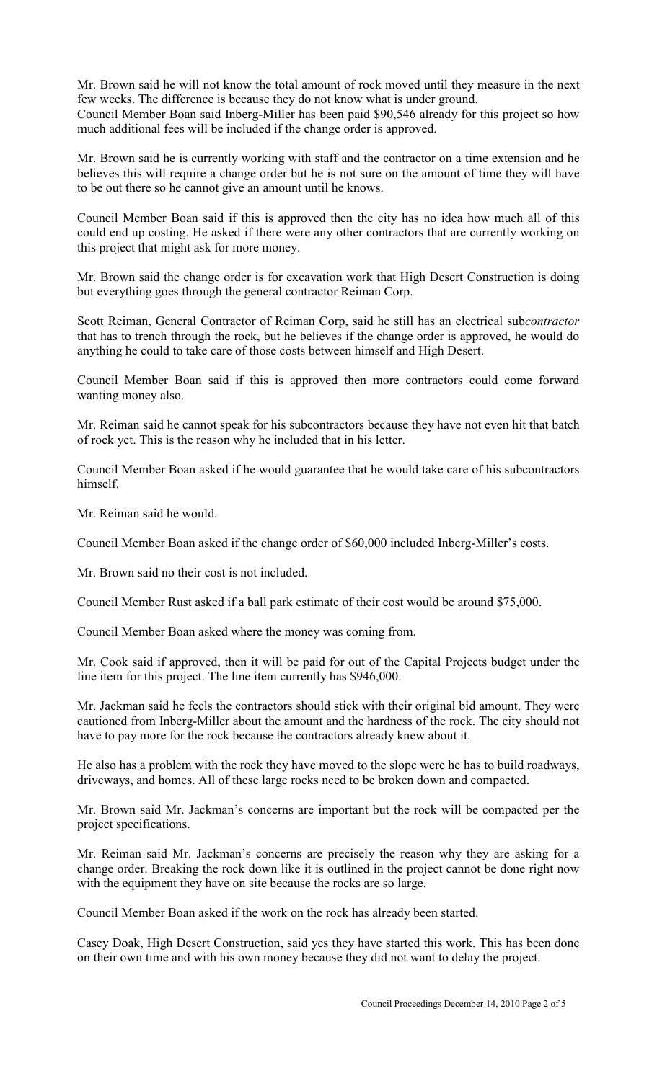Mr. Brown said he will not know the total amount of rock moved until they measure in the next few weeks. The difference is because they do not know what is under ground.

Council Member Boan said Inberg-Miller has been paid \$90,546 already for this project so how much additional fees will be included if the change order is approved.

Mr. Brown said he is currently working with staff and the contractor on a time extension and he believes this will require a change order but he is not sure on the amount of time they will have to be out there so he cannot give an amount until he knows.

Council Member Boan said if this is approved then the city has no idea how much all of this could end up costing. He asked if there were any other contractors that are currently working on this project that might ask for more money.

Mr. Brown said the change order is for excavation work that High Desert Construction is doing but everything goes through the general contractor Reiman Corp.

Scott Reiman, General Contractor of Reiman Corp, said he still has an electrical sub*contractor* that has to trench through the rock, but he believes if the change order is approved, he would do anything he could to take care of those costs between himself and High Desert.

Council Member Boan said if this is approved then more contractors could come forward wanting money also.

Mr. Reiman said he cannot speak for his subcontractors because they have not even hit that batch of rock yet. This is the reason why he included that in his letter.

Council Member Boan asked if he would guarantee that he would take care of his subcontractors himself.

Mr. Reiman said he would.

Council Member Boan asked if the change order of \$60,000 included Inberg-Miller's costs.

Mr. Brown said no their cost is not included.

Council Member Rust asked if a ball park estimate of their cost would be around \$75,000.

Council Member Boan asked where the money was coming from.

Mr. Cook said if approved, then it will be paid for out of the Capital Projects budget under the line item for this project. The line item currently has \$946,000.

Mr. Jackman said he feels the contractors should stick with their original bid amount. They were cautioned from Inberg-Miller about the amount and the hardness of the rock. The city should not have to pay more for the rock because the contractors already knew about it.

He also has a problem with the rock they have moved to the slope were he has to build roadways, driveways, and homes. All of these large rocks need to be broken down and compacted.

Mr. Brown said Mr. Jackman's concerns are important but the rock will be compacted per the project specifications.

Mr. Reiman said Mr. Jackman's concerns are precisely the reason why they are asking for a change order. Breaking the rock down like it is outlined in the project cannot be done right now with the equipment they have on site because the rocks are so large.

Council Member Boan asked if the work on the rock has already been started.

Casey Doak, High Desert Construction, said yes they have started this work. This has been done on their own time and with his own money because they did not want to delay the project.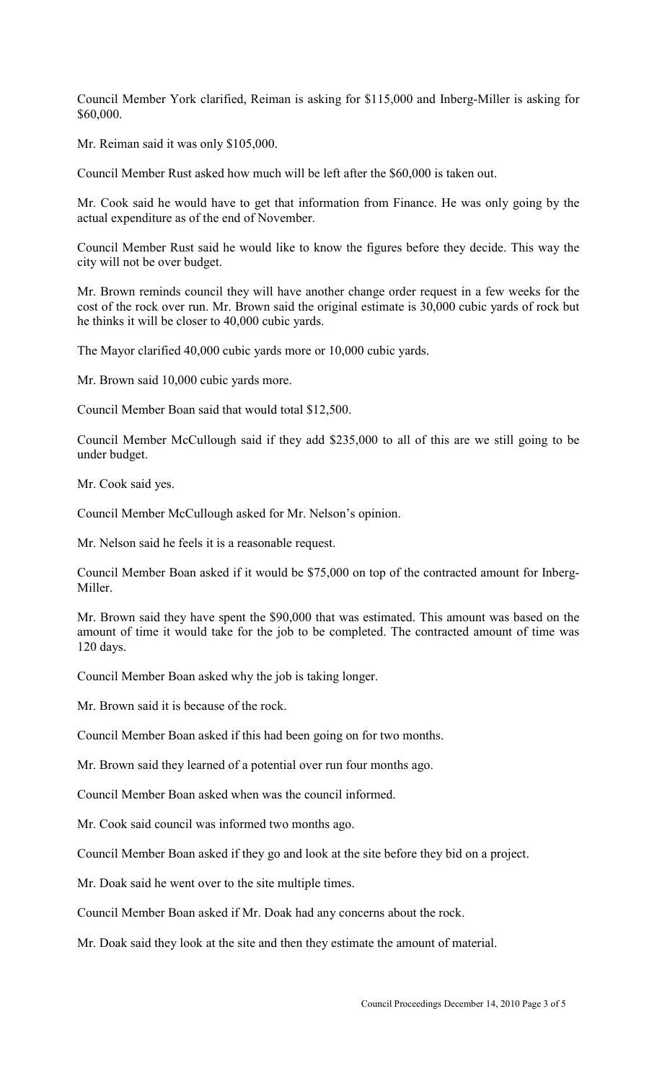Council Member York clarified, Reiman is asking for \$115,000 and Inberg-Miller is asking for \$60,000.

Mr. Reiman said it was only \$105,000.

Council Member Rust asked how much will be left after the \$60,000 is taken out.

Mr. Cook said he would have to get that information from Finance. He was only going by the actual expenditure as of the end of November.

Council Member Rust said he would like to know the figures before they decide. This way the city will not be over budget.

Mr. Brown reminds council they will have another change order request in a few weeks for the cost of the rock over run. Mr. Brown said the original estimate is 30,000 cubic yards of rock but he thinks it will be closer to 40,000 cubic yards.

The Mayor clarified 40,000 cubic yards more or 10,000 cubic yards.

Mr. Brown said 10,000 cubic yards more.

Council Member Boan said that would total \$12,500.

Council Member McCullough said if they add \$235,000 to all of this are we still going to be under budget.

Mr. Cook said yes.

Council Member McCullough asked for Mr. Nelson's opinion.

Mr. Nelson said he feels it is a reasonable request.

Council Member Boan asked if it would be \$75,000 on top of the contracted amount for Inberg-Miller.

Mr. Brown said they have spent the \$90,000 that was estimated. This amount was based on the amount of time it would take for the job to be completed. The contracted amount of time was 120 days.

Council Member Boan asked why the job is taking longer.

Mr. Brown said it is because of the rock.

Council Member Boan asked if this had been going on for two months.

Mr. Brown said they learned of a potential over run four months ago.

Council Member Boan asked when was the council informed.

Mr. Cook said council was informed two months ago.

Council Member Boan asked if they go and look at the site before they bid on a project.

Mr. Doak said he went over to the site multiple times.

Council Member Boan asked if Mr. Doak had any concerns about the rock.

Mr. Doak said they look at the site and then they estimate the amount of material.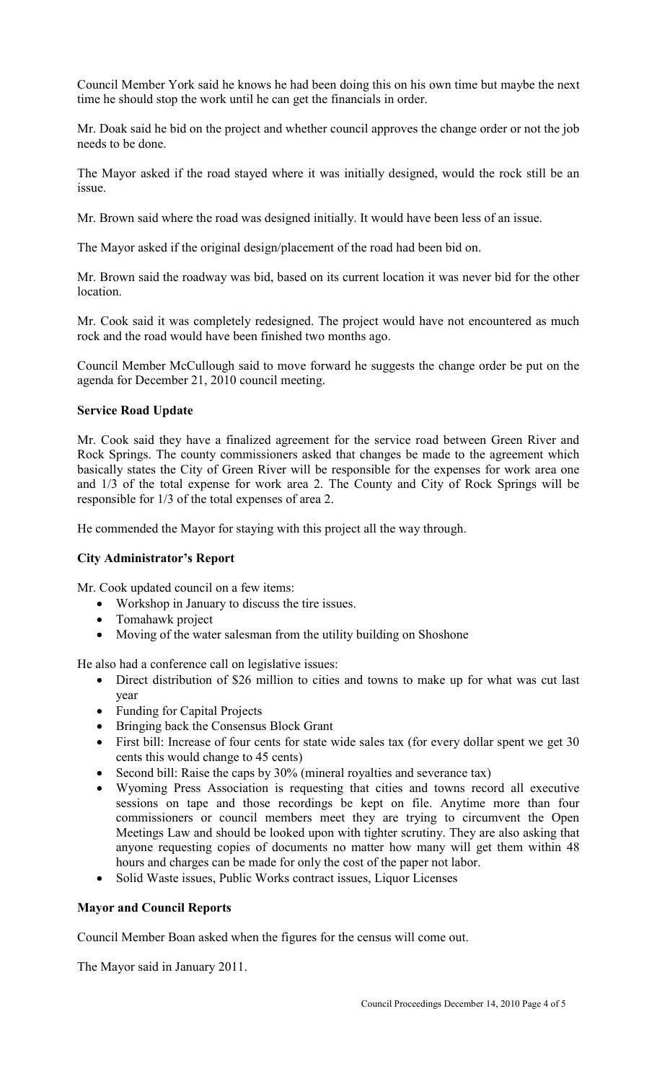Council Member York said he knows he had been doing this on his own time but maybe the next time he should stop the work until he can get the financials in order.

Mr. Doak said he bid on the project and whether council approves the change order or not the job needs to be done.

The Mayor asked if the road stayed where it was initially designed, would the rock still be an issue.

Mr. Brown said where the road was designed initially. It would have been less of an issue.

The Mayor asked if the original design/placement of the road had been bid on.

Mr. Brown said the roadway was bid, based on its current location it was never bid for the other location.

Mr. Cook said it was completely redesigned. The project would have not encountered as much rock and the road would have been finished two months ago.

Council Member McCullough said to move forward he suggests the change order be put on the agenda for December 21, 2010 council meeting.

## **Service Road Update**

Mr. Cook said they have a finalized agreement for the service road between Green River and Rock Springs. The county commissioners asked that changes be made to the agreement which basically states the City of Green River will be responsible for the expenses for work area one and 1/3 of the total expense for work area 2. The County and City of Rock Springs will be responsible for 1/3 of the total expenses of area 2.

He commended the Mayor for staying with this project all the way through.

## **City Administrator's Report**

Mr. Cook updated council on a few items:

- Workshop in January to discuss the tire issues.
- Tomahawk project
- Moving of the water salesman from the utility building on Shoshone

He also had a conference call on legislative issues:

- Direct distribution of \$26 million to cities and towns to make up for what was cut last year
- Funding for Capital Projects
- Bringing back the Consensus Block Grant
- First bill: Increase of four cents for state wide sales tax (for every dollar spent we get 30 cents this would change to 45 cents)
- Second bill: Raise the caps by 30% (mineral royalties and severance tax)
- Wyoming Press Association is requesting that cities and towns record all executive sessions on tape and those recordings be kept on file. Anytime more than four commissioners or council members meet they are trying to circumvent the Open Meetings Law and should be looked upon with tighter scrutiny. They are also asking that anyone requesting copies of documents no matter how many will get them within 48 hours and charges can be made for only the cost of the paper not labor.
- Solid Waste issues, Public Works contract issues, Liquor Licenses

## **Mayor and Council Reports**

Council Member Boan asked when the figures for the census will come out.

The Mayor said in January 2011.